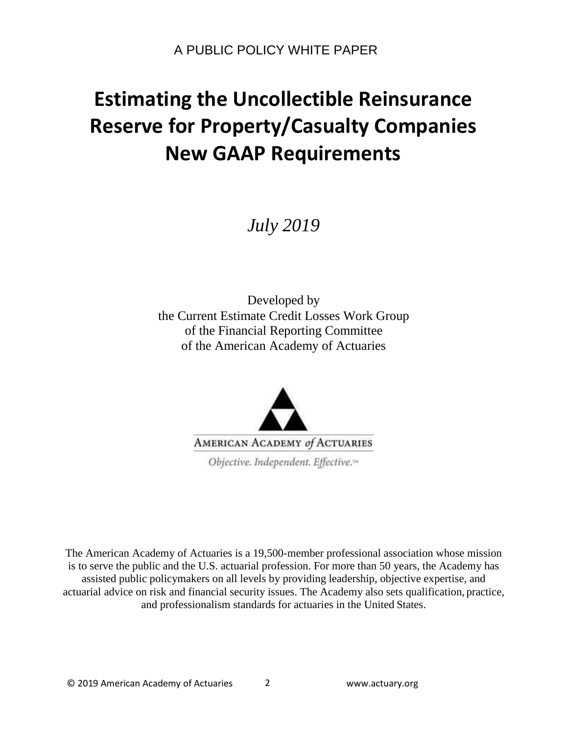*July 2019*

Developed by the Current Estimate Credit Losses Work Group of the Financial Reporting Committee of the American Academy of Actuaries



The American Academy of Actuaries is a 19,500-member professional association whose mission is to serve the public and the U.S. actuarial profession. For more than 50 years, the Academy has assisted public policymakers on all levels by providing leadership, objective expertise, and actuarial advice on risk and financial security issues. The Academy also sets qualification, practice, and professionalism standards for actuaries in the United States.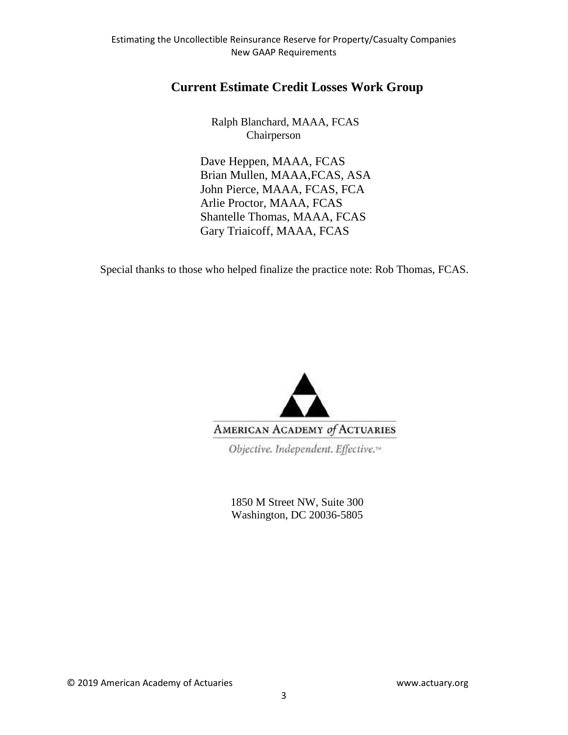# **Current Estimate Credit Losses Work Group**

Ralph Blanchard, MAAA, FCAS Chairperson

Dave Heppen, MAAA, FCAS Brian Mullen, MAAA,FCAS, ASA John Pierce, MAAA, FCAS, FCA Arlie Proctor, MAAA, FCAS Shantelle Thomas, MAAA, FCAS Gary Triaicoff, MAAA, FCAS

Special thanks to those who helped finalize the practice note: Rob Thomas, FCAS.



Objective. Independent. Effective.<sup>14</sup>

1850 M Street NW, Suite 300 Washington, DC 20036-5805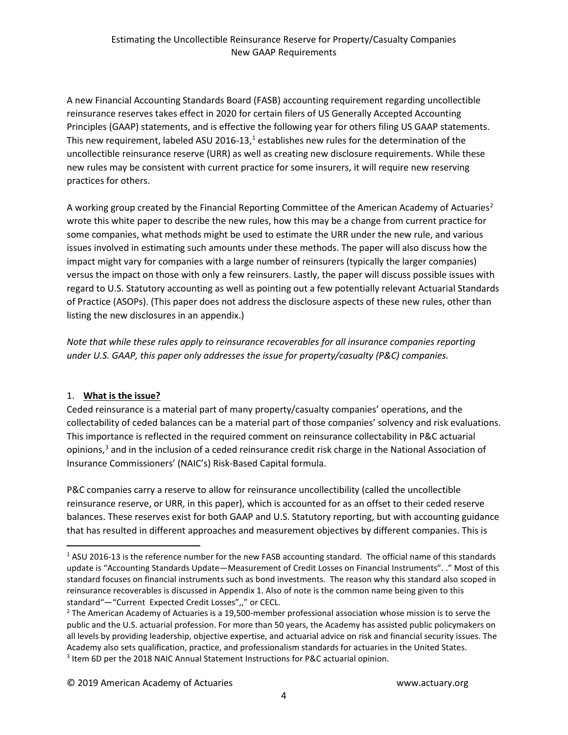A new Financial Accounting Standards Board (FASB) accounting requirement regarding uncollectible reinsurance reserves takes effect in 2020 for certain filers of US Generally Accepted Accounting Principles (GAAP) statements, and is effective the following year for others filing US GAAP statements. This new requirement, labeled ASU 20[1](#page-2-0)6-13, $<sup>1</sup>$  establishes new rules for the determination of the</sup> uncollectible reinsurance reserve (URR) as well as creating new disclosure requirements. While these new rules may be consistent with current practice for some insurers, it will require new reserving practices for others.

A working group created by the Financial Reporting Committee of the American Academy of Actuaries<sup>2</sup> wrote this white paper to describe the new rules, how this may be a change from current practice for some companies, what methods might be used to estimate the URR under the new rule, and various issues involved in estimating such amounts under these methods. The paper will also discuss how the impact might vary for companies with a large number of reinsurers (typically the larger companies) versus the impact on those with only a few reinsurers. Lastly, the paper will discuss possible issues with regard to U.S. Statutory accounting as well as pointing out a few potentially relevant Actuarial Standards of Practice (ASOPs). (This paper does not address the disclosure aspects of these new rules, other than listing the new disclosures in an appendix.)

*Note that while these rules apply to reinsurance recoverables for all insurance companies reporting under U.S. GAAP, this paper only addresses the issue for property/casualty (P&C) companies.*

# 1. **What is the issue?**

Ceded reinsurance is a material part of many property/casualty companies' operations, and the collectability of ceded balances can be a material part of those companies' solvency and risk evaluations. This importance is reflected in the required comment on reinsurance collectability in P&C actuarial opinions,<sup>[3](#page-2-2)</sup> and in the inclusion of a ceded reinsurance credit risk charge in the National Association of Insurance Commissioners' (NAIC's) Risk-Based Capital formula.

P&C companies carry a reserve to allow for reinsurance uncollectibility (called the uncollectible reinsurance reserve, or URR, in this paper), which is accounted for as an offset to their ceded reserve balances. These reserves exist for both GAAP and U.S. Statutory reporting, but with accounting guidance that has resulted in different approaches and measurement objectives by different companies. This is

<span id="page-2-0"></span> $1$  ASU 2016-13 is the reference number for the new FASB accounting standard. The official name of this standards update is "Accounting Standards Update—Measurement of Credit Losses on Financial Instruments". ." Most of this standard focuses on financial instruments such as bond investments. The reason why this standard also scoped in reinsurance recoverables is discussed in Appendix 1. Also of note is the common name being given to this standard"—"Current Expected Credit Losses",," or CECL.

<span id="page-2-2"></span><span id="page-2-1"></span><sup>&</sup>lt;sup>2</sup> The American Academy of Actuaries is a 19,500-member professional association whose mission is to serve the public and the U.S. actuarial profession. For more than 50 years, the Academy has assisted public policymakers on all levels by providing leadership, objective expertise, and actuarial advice on risk and financial security issues. The Academy also sets qualification, practice, and professionalism standards for actuaries in the United States. <sup>3</sup> Item 6D per the 2018 NAIC Annual Statement Instructions for P&C actuarial opinion.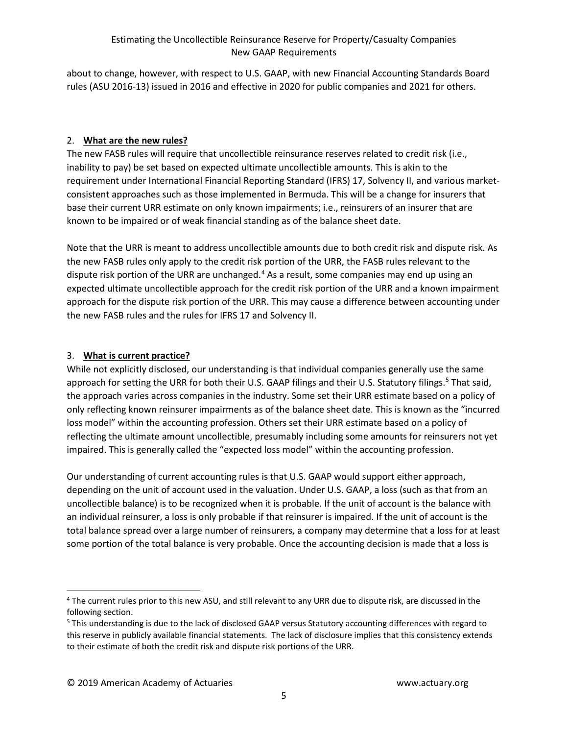about to change, however, with respect to U.S. GAAP, with new Financial Accounting Standards Board rules (ASU 2016-13) issued in 2016 and effective in 2020 for public companies and 2021 for others.

# 2. **What are the new rules?**

The new FASB rules will require that uncollectible reinsurance reserves related to credit risk (i.e., inability to pay) be set based on expected ultimate uncollectible amounts. This is akin to the requirement under International Financial Reporting Standard (IFRS) 17, Solvency II, and various marketconsistent approaches such as those implemented in Bermuda. This will be a change for insurers that base their current URR estimate on only known impairments; i.e., reinsurers of an insurer that are known to be impaired or of weak financial standing as of the balance sheet date.

Note that the URR is meant to address uncollectible amounts due to both credit risk and dispute risk. As the new FASB rules only apply to the credit risk portion of the URR, the FASB rules relevant to the dispute risk portion of the URR are unchanged.<sup>[4](#page-3-0)</sup> As a result, some companies may end up using an expected ultimate uncollectible approach for the credit risk portion of the URR and a known impairment approach for the dispute risk portion of the URR. This may cause a difference between accounting under the new FASB rules and the rules for IFRS 17 and Solvency II.

# 3. **What is current practice?**

While not explicitly disclosed, our understanding is that individual companies generally use the same approach for setting the URR for both their U.S. GAAP filings and their U.S. Statutory filings.<sup>[5](#page-3-1)</sup> That said, the approach varies across companies in the industry. Some set their URR estimate based on a policy of only reflecting known reinsurer impairments as of the balance sheet date. This is known as the "incurred loss model" within the accounting profession. Others set their URR estimate based on a policy of reflecting the ultimate amount uncollectible, presumably including some amounts for reinsurers not yet impaired. This is generally called the "expected loss model" within the accounting profession.

Our understanding of current accounting rules is that U.S. GAAP would support either approach, depending on the unit of account used in the valuation. Under U.S. GAAP, a loss (such as that from an uncollectible balance) is to be recognized when it is probable. If the unit of account is the balance with an individual reinsurer, a loss is only probable if that reinsurer is impaired. If the unit of account is the total balance spread over a large number of reinsurers, a company may determine that a loss for at least some portion of the total balance is very probable. Once the accounting decision is made that a loss is

<span id="page-3-0"></span> <sup>4</sup> The current rules prior to this new ASU, and still relevant to any URR due to dispute risk, are discussed in the following section.

<span id="page-3-1"></span><sup>&</sup>lt;sup>5</sup> This understanding is due to the lack of disclosed GAAP versus Statutory accounting differences with regard to this reserve in publicly available financial statements. The lack of disclosure implies that this consistency extends to their estimate of both the credit risk and dispute risk portions of the URR.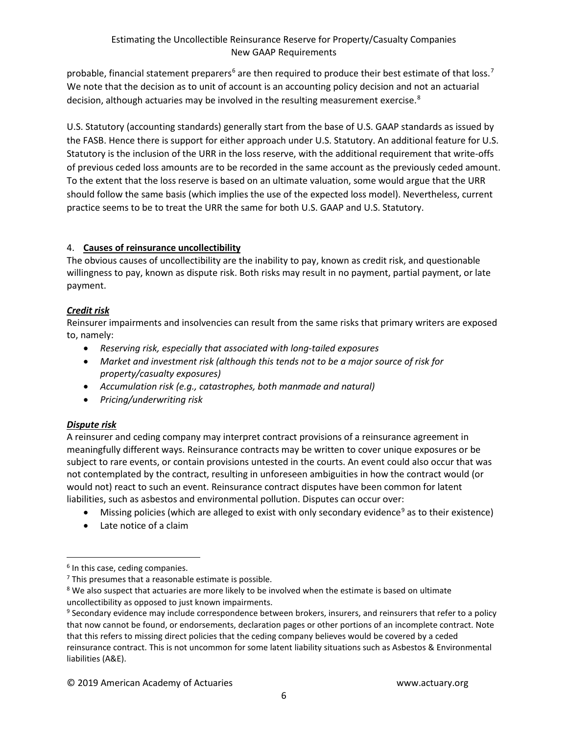probable, financial statement preparers<sup>[6](#page-4-0)</sup> are then required to produce their best estimate of that loss.<sup>[7](#page-4-1)</sup> We note that the decision as to unit of account is an accounting policy decision and not an actuarial decision, although actuaries may be involved in the resulting measurement exercise.<sup>[8](#page-4-2)</sup>

U.S. Statutory (accounting standards) generally start from the base of U.S. GAAP standards as issued by the FASB. Hence there is support for either approach under U.S. Statutory. An additional feature for U.S. Statutory is the inclusion of the URR in the loss reserve, with the additional requirement that write-offs of previous ceded loss amounts are to be recorded in the same account as the previously ceded amount. To the extent that the loss reserve is based on an ultimate valuation, some would argue that the URR should follow the same basis (which implies the use of the expected loss model). Nevertheless, current practice seems to be to treat the URR the same for both U.S. GAAP and U.S. Statutory.

# 4. **Causes of reinsurance uncollectibility**

The obvious causes of uncollectibility are the inability to pay, known as credit risk, and questionable willingness to pay, known as dispute risk. Both risks may result in no payment, partial payment, or late payment.

# *Credit risk*

Reinsurer impairments and insolvencies can result from the same risks that primary writers are exposed to, namely:

- *Reserving risk, especially that associated with long-tailed exposures*
- *Market and investment risk (although this tends not to be a major source of risk for property/casualty exposures)*
- *Accumulation risk (e.g., catastrophes, both manmade and natural)*
- *Pricing/underwriting risk*

# *Dispute risk*

A reinsurer and ceding company may interpret contract provisions of a reinsurance agreement in meaningfully different ways. Reinsurance contracts may be written to cover unique exposures or be subject to rare events, or contain provisions untested in the courts. An event could also occur that was not contemplated by the contract, resulting in unforeseen ambiguities in how the contract would (or would not) react to such an event. Reinsurance contract disputes have been common for latent liabilities, such as asbestos and environmental pollution. Disputes can occur over:

- Missing policies (which are alleged to exist with only secondary evidence<sup>[9](#page-4-3)</sup> as to their existence)
- Late notice of a claim

<span id="page-4-0"></span> $6$  In this case, ceding companies.

<span id="page-4-1"></span> $<sup>7</sup>$  This presumes that a reasonable estimate is possible.</sup>

<span id="page-4-2"></span><sup>&</sup>lt;sup>8</sup> We also suspect that actuaries are more likely to be involved when the estimate is based on ultimate uncollectibility as opposed to just known impairments.

<span id="page-4-3"></span><sup>&</sup>lt;sup>9</sup> Secondary evidence may include correspondence between brokers, insurers, and reinsurers that refer to a policy that now cannot be found, or endorsements, declaration pages or other portions of an incomplete contract. Note that this refers to missing direct policies that the ceding company believes would be covered by a ceded reinsurance contract. This is not uncommon for some latent liability situations such as Asbestos & Environmental liabilities (A&E).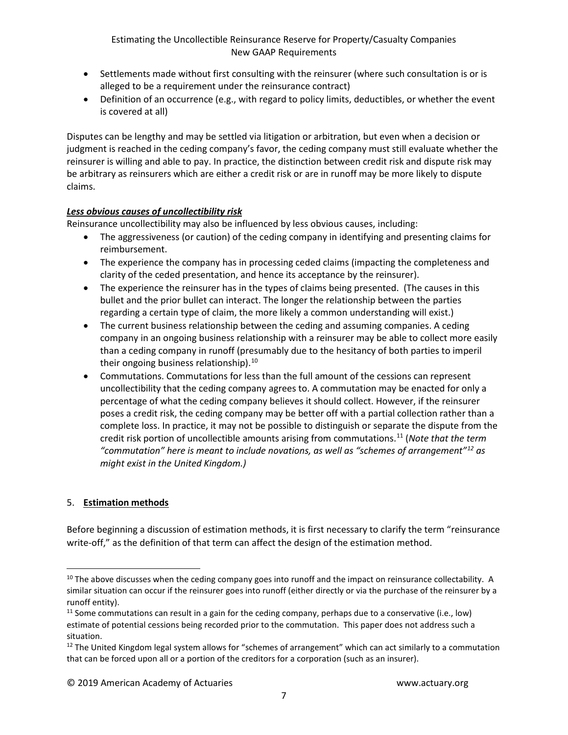- Settlements made without first consulting with the reinsurer (where such consultation is or is alleged to be a requirement under the reinsurance contract)
- Definition of an occurrence (e.g., with regard to policy limits, deductibles, or whether the event is covered at all)

Disputes can be lengthy and may be settled via litigation or arbitration, but even when a decision or judgment is reached in the ceding company's favor, the ceding company must still evaluate whether the reinsurer is willing and able to pay. In practice, the distinction between credit risk and dispute risk may be arbitrary as reinsurers which are either a credit risk or are in runoff may be more likely to dispute claims.

# *Less obvious causes of uncollectibility risk*

Reinsurance uncollectibility may also be influenced by less obvious causes, including:

- The aggressiveness (or caution) of the ceding company in identifying and presenting claims for reimbursement.
- The experience the company has in processing ceded claims (impacting the completeness and clarity of the ceded presentation, and hence its acceptance by the reinsurer).
- The experience the reinsurer has in the types of claims being presented. (The causes in this bullet and the prior bullet can interact. The longer the relationship between the parties regarding a certain type of claim, the more likely a common understanding will exist.)
- The current business relationship between the ceding and assuming companies. A ceding company in an ongoing business relationship with a reinsurer may be able to collect more easily than a ceding company in runoff (presumably due to the hesitancy of both parties to imperil their ongoing business relationship).<sup>[10](#page-5-0)</sup>
- Commutations. Commutations for less than the full amount of the cessions can represent uncollectibility that the ceding company agrees to. A commutation may be enacted for only a percentage of what the ceding company believes it should collect. However, if the reinsurer poses a credit risk, the ceding company may be better off with a partial collection rather than a complete loss. In practice, it may not be possible to distinguish or separate the dispute from the credit risk portion of uncollectible amounts arising from commutations. [11](#page-5-1) (*Note that the term "commutation" here is meant to include novations, as well as "schemes of arrangement"[12](#page-5-2) as might exist in the United Kingdom.)*

# 5. **Estimation methods**

Before beginning a discussion of estimation methods, it is first necessary to clarify the term "reinsurance write-off," as the definition of that term can affect the design of the estimation method.

<span id="page-5-0"></span><sup>&</sup>lt;sup>10</sup> The above discusses when the ceding company goes into runoff and the impact on reinsurance collectability. A similar situation can occur if the reinsurer goes into runoff (either directly or via the purchase of the reinsurer by a runoff entity).

<span id="page-5-1"></span> $11$  Some commutations can result in a gain for the ceding company, perhaps due to a conservative (i.e., low) estimate of potential cessions being recorded prior to the commutation. This paper does not address such a situation.

<span id="page-5-2"></span> $12$  The United Kingdom legal system allows for "schemes of arrangement" which can act similarly to a commutation that can be forced upon all or a portion of the creditors for a corporation (such as an insurer).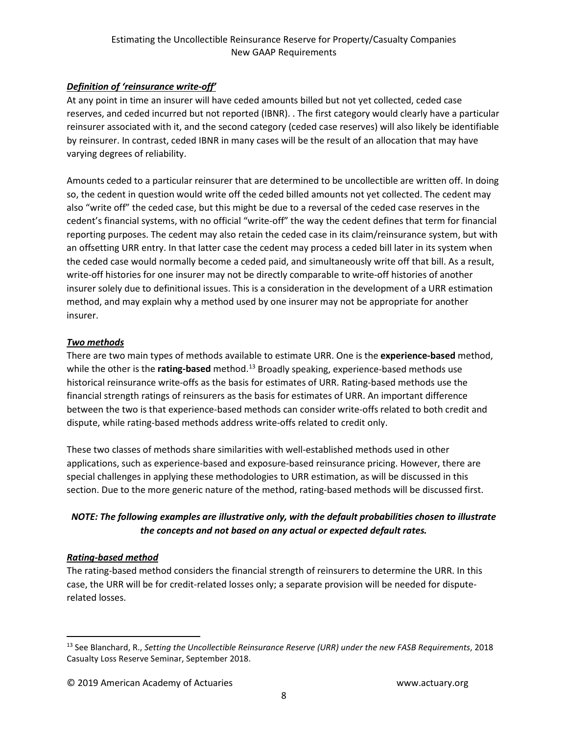# *Definition of 'reinsurance write-off'*

At any point in time an insurer will have ceded amounts billed but not yet collected, ceded case reserves, and ceded incurred but not reported (IBNR). . The first category would clearly have a particular reinsurer associated with it, and the second category (ceded case reserves) will also likely be identifiable by reinsurer. In contrast, ceded IBNR in many cases will be the result of an allocation that may have varying degrees of reliability.

Amounts ceded to a particular reinsurer that are determined to be uncollectible are written off. In doing so, the cedent in question would write off the ceded billed amounts not yet collected. The cedent may also "write off" the ceded case, but this might be due to a reversal of the ceded case reserves in the cedent's financial systems, with no official "write-off" the way the cedent defines that term for financial reporting purposes. The cedent may also retain the ceded case in its claim/reinsurance system, but with an offsetting URR entry. In that latter case the cedent may process a ceded bill later in its system when the ceded case would normally become a ceded paid, and simultaneously write off that bill. As a result, write-off histories for one insurer may not be directly comparable to write-off histories of another insurer solely due to definitional issues. This is a consideration in the development of a URR estimation method, and may explain why a method used by one insurer may not be appropriate for another insurer.

# *Two methods*

There are two main types of methods available to estimate URR. One is the **experience-based** method, while the other is the **rating-based** method. [13](#page-6-0) Broadly speaking, experience-based methods use historical reinsurance write-offs as the basis for estimates of URR. Rating-based methods use the financial strength ratings of reinsurers as the basis for estimates of URR. An important difference between the two is that experience-based methods can consider write-offs related to both credit and dispute, while rating-based methods address write-offs related to credit only.

These two classes of methods share similarities with well-established methods used in other applications, such as experience-based and exposure-based reinsurance pricing. However, there are special challenges in applying these methodologies to URR estimation, as will be discussed in this section. Due to the more generic nature of the method, rating-based methods will be discussed first.

# *NOTE: The following examples are illustrative only, with the default probabilities chosen to illustrate the concepts and not based on any actual or expected default rates.*

# *Rating-based method*

The rating-based method considers the financial strength of reinsurers to determine the URR. In this case, the URR will be for credit-related losses only; a separate provision will be needed for disputerelated losses.

<span id="page-6-0"></span> <sup>13</sup> See Blanchard, R., *Setting the Uncollectible Reinsurance Reserve (URR) under the new FASB Requirements*, 2018 Casualty Loss Reserve Seminar, September 2018.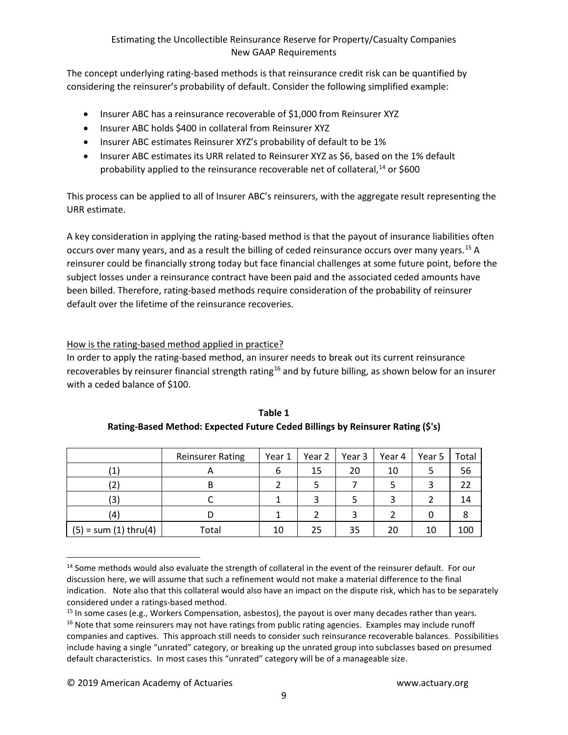The concept underlying rating-based methods is that reinsurance credit risk can be quantified by considering the reinsurer's probability of default. Consider the following simplified example:

- Insurer ABC has a reinsurance recoverable of \$1,000 from Reinsurer XYZ
- Insurer ABC holds \$400 in collateral from Reinsurer XYZ
- Insurer ABC estimates Reinsurer XYZ's probability of default to be 1%
- Insurer ABC estimates its URR related to Reinsurer XYZ as \$6, based on the 1% default probability applied to the reinsurance recoverable net of collateral,<sup>[14](#page-7-0)</sup> or \$600

This process can be applied to all of Insurer ABC's reinsurers, with the aggregate result representing the URR estimate.

A key consideration in applying the rating-based method is that the payout of insurance liabilities often occurs over many years, and as a result the billing of ceded reinsurance occurs over many years.<sup>[15](#page-7-1)</sup> A reinsurer could be financially strong today but face financial challenges at some future point, before the subject losses under a reinsurance contract have been paid and the associated ceded amounts have been billed. Therefore, rating-based methods require consideration of the probability of reinsurer default over the lifetime of the reinsurance recoveries.

# How is the rating-based method applied in practice?

In order to apply the rating-based method, an insurer needs to break out its current reinsurance recoverables by reinsurer financial strength rating<sup>[16](#page-7-2)</sup> and by future billing, as shown below for an insurer with a ceded balance of \$100.

|                         | <b>Reinsurer Rating</b> | Year 1 | Year 2 | Year 3 | Year 4 | Year 5 | Total |
|-------------------------|-------------------------|--------|--------|--------|--------|--------|-------|
| $\mathbf{1}$            | $\sqrt{ }$              | 6      | 15     | 20     | 10     |        | 56    |
| '2)                     |                         |        |        |        |        |        | 22    |
| (3)                     |                         |        |        |        |        |        | 14    |
| (4)                     |                         |        |        |        |        | O      |       |
| $(5) = sum (1) thru(4)$ | Total                   | 10     | 25     | 35     | 20     | 10     | 100   |

**Table 1 Rating-Based Method: Expected Future Ceded Billings by Reinsurer Rating (\$'s)**

<span id="page-7-0"></span><sup>&</sup>lt;sup>14</sup> Some methods would also evaluate the strength of collateral in the event of the reinsurer default. For our discussion here, we will assume that such a refinement would not make a material difference to the final indication. Note also that this collateral would also have an impact on the dispute risk, which has to be separately considered under a ratings-based method.

<span id="page-7-2"></span><span id="page-7-1"></span><sup>&</sup>lt;sup>15</sup> In some cases (e.g., Workers Compensation, asbestos), the payout is over many decades rather than years. <sup>16</sup> Note that some reinsurers may not have ratings from public rating agencies. Examples may include runoff companies and captives. This approach still needs to consider such reinsurance recoverable balances. Possibilities include having a single "unrated" category, or breaking up the unrated group into subclasses based on presumed default characteristics. In most cases this "unrated" category will be of a manageable size.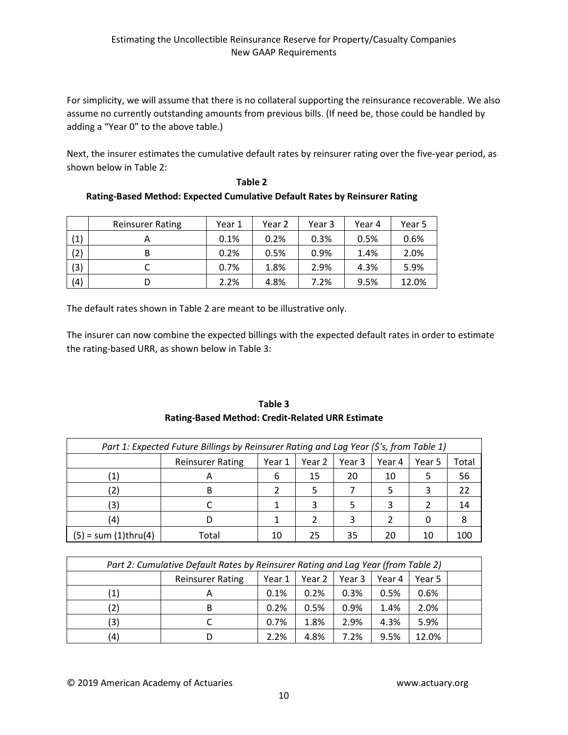For simplicity, we will assume that there is no collateral supporting the reinsurance recoverable. We also assume no currently outstanding amounts from previous bills. (If need be, those could be handled by adding a "Year 0" to the above table.)

Next, the insurer estimates the cumulative default rates by reinsurer rating over the five-year period, as shown below in Table 2:

|     | <b>Reinsurer Rating</b> | Year 1 | Year 2 | Year 3 | Year 4 | Year 5 |
|-----|-------------------------|--------|--------|--------|--------|--------|
| (1) | Α                       | 0.1%   | 0.2%   | 0.3%   | 0.5%   | 0.6%   |
| (2) | B                       | 0.2%   | 0.5%   | 0.9%   | 1.4%   | 2.0%   |
| (3) |                         | 0.7%   | 1.8%   | 2.9%   | 4.3%   | 5.9%   |
| (4) | D                       | 2.2%   | 4.8%   | 7.2%   | 9.5%   | 12.0%  |

**Table 2 Rating-Based Method: Expected Cumulative Default Rates by Reinsurer Rating**

The default rates shown in Table 2 are meant to be illustrative only.

The insurer can now combine the expected billings with the expected default rates in order to estimate the rating-based URR, as shown below in Table 3:

| Part 1: Expected Future Billings by Reinsurer Rating and Lag Year (\$'s, from Table 1) |    |                         |        |        |          |        |        |       |
|----------------------------------------------------------------------------------------|----|-------------------------|--------|--------|----------|--------|--------|-------|
|                                                                                        |    | <b>Reinsurer Rating</b> | Year 1 | Year 2 | l Year 3 | Year 4 | Year 5 | Total |
|                                                                                        |    |                         | 6      | 15     | 20       | 10     | 5      | 56    |
|                                                                                        |    |                         |        |        |          |        | 3      |       |
|                                                                                        | 3) |                         |        |        |          |        |        |       |
|                                                                                        |    |                         |        |        |          |        |        |       |

(4) D | 1 | 2 | 3 | 2 | 0 | 8

# **Table 3 Rating-Based Method: Credit-Related URR Estimate**

| Part 2: Cumulative Default Rates by Reinsurer Rating and Lag Year (from Table 2) |   |      |      |      |      |       |  |  |
|----------------------------------------------------------------------------------|---|------|------|------|------|-------|--|--|
| <b>Reinsurer Rating</b><br>Year 2<br>Year 1<br>Year 3<br>Year 4<br>Year 5        |   |      |      |      |      |       |  |  |
| $\left( 1\right)$                                                                | A | 0.1% | 0.2% | 0.3% | 0.5% | 0.6%  |  |  |
| (2)                                                                              | B | 0.2% | 0.5% | 0.9% | 1.4% | 2.0%  |  |  |
| (3)                                                                              |   | 0.7% | 1.8% | 2.9% | 4.3% | 5.9%  |  |  |
| (4)                                                                              |   | 2.2% | 4.8% | 7.2% | 9.5% | 12.0% |  |  |

 $(5) = sum (1)$ thru(4) Total 10 25 35 20 10 100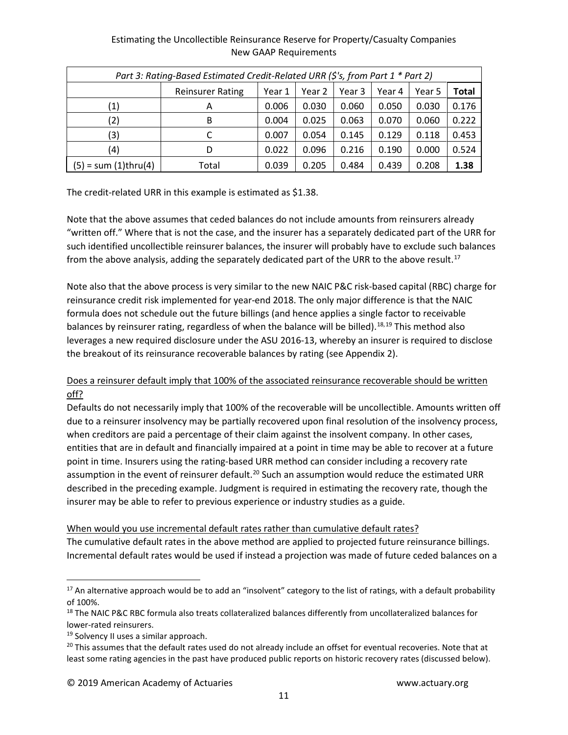# Estimating the Uncollectible Reinsurance Reserve for Property/Casualty Companies New GAAP Requirements *Part 3: Rating-Based Estimated Credit-Related URR (\$'s, from Part 1 \* Part 2)*

| Part 3: Rating-Based Estimated Credit-Related URR (\$'s, from Part 1 * Part 2) |                         |        |        |        |        |        |       |  |  |
|--------------------------------------------------------------------------------|-------------------------|--------|--------|--------|--------|--------|-------|--|--|
|                                                                                | <b>Reinsurer Rating</b> | Year 1 | Year 2 | Year 3 | Year 4 | Year 5 | Total |  |  |
| $\left( 1\right)$                                                              | Α                       | 0.006  | 0.030  | 0.060  | 0.050  | 0.030  | 0.176 |  |  |
| (2)                                                                            | B                       | 0.004  | 0.025  | 0.063  | 0.070  | 0.060  | 0.222 |  |  |
| (3)                                                                            |                         | 0.007  | 0.054  | 0.145  | 0.129  | 0.118  | 0.453 |  |  |
| (4)                                                                            | D                       | 0.022  | 0.096  | 0.216  | 0.190  | 0.000  | 0.524 |  |  |
| $(5)$ = sum $(1)$ thru $(4)$                                                   | Total                   | 0.039  | 0.205  | 0.484  | 0.439  | 0.208  | 1.38  |  |  |

The credit-related URR in this example is estimated as \$1.38.

Note that the above assumes that ceded balances do not include amounts from reinsurers already "written off." Where that is not the case, and the insurer has a separately dedicated part of the URR for such identified uncollectible reinsurer balances, the insurer will probably have to exclude such balances from the above analysis, adding the separately dedicated part of the URR to the above result.<sup>[17](#page-9-0)</sup>

Note also that the above process is very similar to the new NAIC P&C risk-based capital (RBC) charge for reinsurance credit risk implemented for year-end 2018. The only major difference is that the NAIC formula does not schedule out the future billings (and hence applies a single factor to receivable balances by reinsurer rating, regardless of when the balance will be billed).<sup>[18,](#page-9-1)[19](#page-9-2)</sup> This method also leverages a new required disclosure under the ASU 2016-13, whereby an insurer is required to disclose the breakout of its reinsurance recoverable balances by rating (see Appendix 2).

# Does a reinsurer default imply that 100% of the associated reinsurance recoverable should be written off?

Defaults do not necessarily imply that 100% of the recoverable will be uncollectible. Amounts written off due to a reinsurer insolvency may be partially recovered upon final resolution of the insolvency process, when creditors are paid a percentage of their claim against the insolvent company. In other cases, entities that are in default and financially impaired at a point in time may be able to recover at a future point in time. Insurers using the rating-based URR method can consider including a recovery rate assumption in the event of reinsurer default.<sup>[20](#page-9-3)</sup> Such an assumption would reduce the estimated URR described in the preceding example. Judgment is required in estimating the recovery rate, though the insurer may be able to refer to previous experience or industry studies as a guide.

# When would you use incremental default rates rather than cumulative default rates?

The cumulative default rates in the above method are applied to projected future reinsurance billings. Incremental default rates would be used if instead a projection was made of future ceded balances on a

<span id="page-9-0"></span> $17$  An alternative approach would be to add an "insolvent" category to the list of ratings, with a default probability of 100%.

<span id="page-9-1"></span><sup>&</sup>lt;sup>18</sup> The NAIC P&C RBC formula also treats collateralized balances differently from uncollateralized balances for lower-rated reinsurers.

<span id="page-9-3"></span><span id="page-9-2"></span><sup>&</sup>lt;sup>19</sup> Solvency II uses a similar approach.<br><sup>20</sup> This assumes that the default rates used do not already include an offset for eventual recoveries. Note that at least some rating agencies in the past have produced public reports on historic recovery rates (discussed below).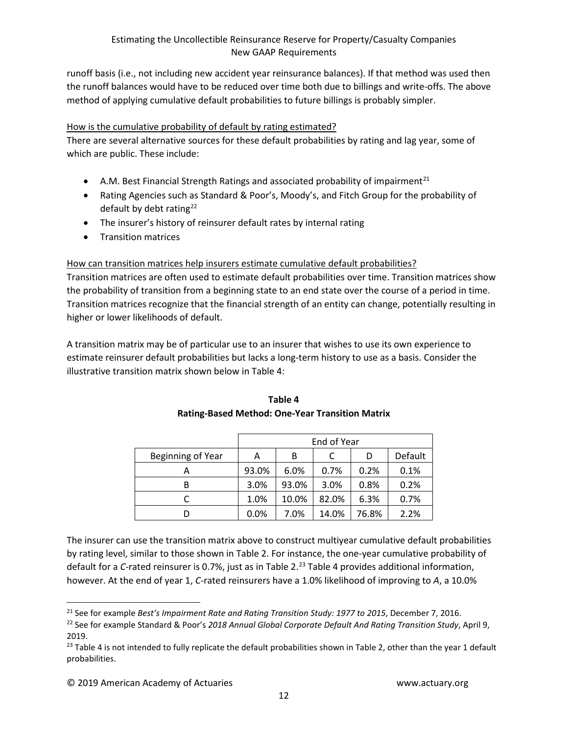runoff basis (i.e., not including new accident year reinsurance balances). If that method was used then the runoff balances would have to be reduced over time both due to billings and write-offs. The above method of applying cumulative default probabilities to future billings is probably simpler.

# How is the cumulative probability of default by rating estimated?

There are several alternative sources for these default probabilities by rating and lag year, some of which are public. These include:

- A.M. Best Financial Strength Ratings and associated probability of impairment<sup>[21](#page-10-0)</sup>
- Rating Agencies such as Standard & Poor's, Moody's, and Fitch Group for the probability of default by debt rating<sup>[22](#page-10-1)</sup>
- The insurer's history of reinsurer default rates by internal rating
- Transition matrices

# How can transition matrices help insurers estimate cumulative default probabilities?

Transition matrices are often used to estimate default probabilities over time. Transition matrices show the probability of transition from a beginning state to an end state over the course of a period in time. Transition matrices recognize that the financial strength of an entity can change, potentially resulting in higher or lower likelihoods of default.

A transition matrix may be of particular use to an insurer that wishes to use its own experience to estimate reinsurer default probabilities but lacks a long-term history to use as a basis. Consider the illustrative transition matrix shown below in Table 4:

|                   | End of Year |       |       |       |         |  |  |  |
|-------------------|-------------|-------|-------|-------|---------|--|--|--|
| Beginning of Year | Α           | в     |       | D     | Default |  |  |  |
|                   | 93.0%       | 6.0%  | 0.7%  | 0.2%  | 0.1%    |  |  |  |
| В                 | 3.0%        | 93.0% | 3.0%  | 0.8%  | 0.2%    |  |  |  |
|                   | 1.0%        | 10.0% | 82.0% | 6.3%  | 0.7%    |  |  |  |
|                   | 0.0%        | 7.0%  | 14.0% | 76.8% | 2.2%    |  |  |  |

# **Table 4 Rating-Based Method: One-Year Transition Matrix**

The insurer can use the transition matrix above to construct multiyear cumulative default probabilities by rating level, similar to those shown in Table 2. For instance, the one-year cumulative probability of default for a *C*-rated reinsurer is 0.7%, just as in Table 2. [23](#page-10-2) Table 4 provides additional information, however. At the end of year 1, *C*-rated reinsurers have a 1.0% likelihood of improving to *A*, a 10.0%

<span id="page-10-0"></span> <sup>21</sup> See for example *Best's Impairment Rate and Rating Transition Study: 1977 to 2015*, December 7, 2016.

<span id="page-10-1"></span><sup>22</sup> See for example Standard & Poor's *2018 Annual Global Corporate Default And Rating Transition Study*, April 9, 2019.

<span id="page-10-2"></span> $23$  Table 4 is not intended to fully replicate the default probabilities shown in Table 2, other than the year 1 default probabilities.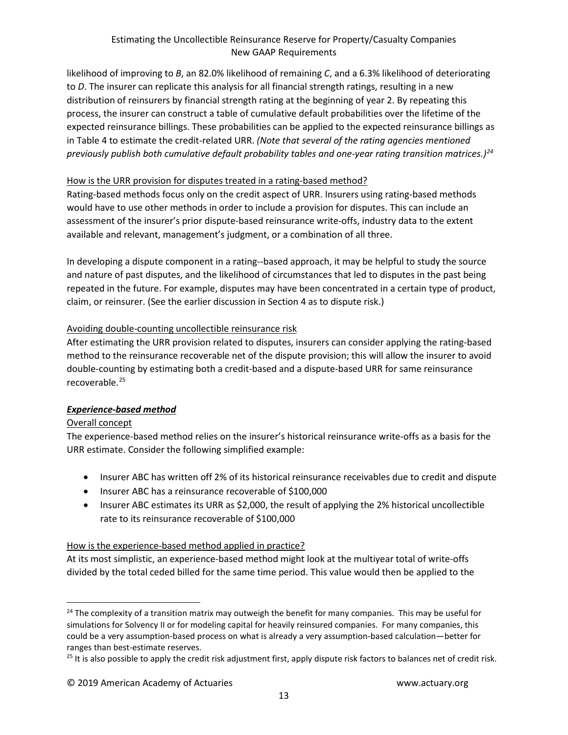likelihood of improving to *B*, an 82.0% likelihood of remaining *C*, and a 6.3% likelihood of deteriorating to *D*. The insurer can replicate this analysis for all financial strength ratings, resulting in a new distribution of reinsurers by financial strength rating at the beginning of year 2. By repeating this process, the insurer can construct a table of cumulative default probabilities over the lifetime of the expected reinsurance billings. These probabilities can be applied to the expected reinsurance billings as in Table 4 to estimate the credit-related URR. *(Note that several of the rating agencies mentioned previously publish both cumulative default probability tables and one-year rating transition matrices.)[24](#page-11-0)*

# How is the URR provision for disputes treated in a rating-based method?

Rating-based methods focus only on the credit aspect of URR. Insurers using rating-based methods would have to use other methods in order to include a provision for disputes. This can include an assessment of the insurer's prior dispute-based reinsurance write-offs, industry data to the extent available and relevant, management's judgment, or a combination of all three.

In developing a dispute component in a rating--based approach, it may be helpful to study the source and nature of past disputes, and the likelihood of circumstances that led to disputes in the past being repeated in the future. For example, disputes may have been concentrated in a certain type of product, claim, or reinsurer. (See the earlier discussion in Section 4 as to dispute risk.)

# Avoiding double-counting uncollectible reinsurance risk

After estimating the URR provision related to disputes, insurers can consider applying the rating-based method to the reinsurance recoverable net of the dispute provision; this will allow the insurer to avoid double-counting by estimating both a credit-based and a dispute-based URR for same reinsurance recoverable. [25](#page-11-1)

# *Experience-based method*

# Overall concept

The experience-based method relies on the insurer's historical reinsurance write-offs as a basis for the URR estimate. Consider the following simplified example:

- Insurer ABC has written off 2% of its historical reinsurance receivables due to credit and dispute
- Insurer ABC has a reinsurance recoverable of \$100,000
- Insurer ABC estimates its URR as \$2,000, the result of applying the 2% historical uncollectible rate to its reinsurance recoverable of \$100,000

# How is the experience-based method applied in practice?

At its most simplistic, an experience-based method might look at the multiyear total of write-offs divided by the total ceded billed for the same time period. This value would then be applied to the

<span id="page-11-0"></span><sup>&</sup>lt;sup>24</sup> The complexity of a transition matrix may outweigh the benefit for many companies. This may be useful for simulations for Solvency II or for modeling capital for heavily reinsured companies. For many companies, this could be a very assumption-based process on what is already a very assumption-based calculation—better for ranges than best-estimate reserves.

<span id="page-11-1"></span><sup>&</sup>lt;sup>25</sup> It is also possible to apply the credit risk adjustment first, apply dispute risk factors to balances net of credit risk.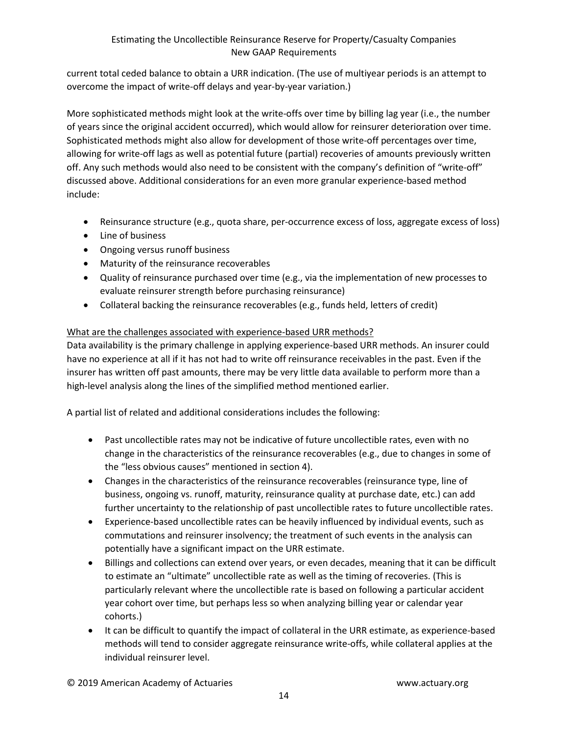current total ceded balance to obtain a URR indication. (The use of multiyear periods is an attempt to overcome the impact of write-off delays and year-by-year variation.)

More sophisticated methods might look at the write-offs over time by billing lag year (i.e., the number of years since the original accident occurred), which would allow for reinsurer deterioration over time. Sophisticated methods might also allow for development of those write-off percentages over time, allowing for write-off lags as well as potential future (partial) recoveries of amounts previously written off. Any such methods would also need to be consistent with the company's definition of "write-off" discussed above. Additional considerations for an even more granular experience-based method include:

- Reinsurance structure (e.g., quota share, per-occurrence excess of loss, aggregate excess of loss)
- Line of business
- Ongoing versus runoff business
- Maturity of the reinsurance recoverables
- Quality of reinsurance purchased over time (e.g., via the implementation of new processes to evaluate reinsurer strength before purchasing reinsurance)
- Collateral backing the reinsurance recoverables (e.g., funds held, letters of credit)

# What are the challenges associated with experience-based URR methods?

Data availability is the primary challenge in applying experience-based URR methods. An insurer could have no experience at all if it has not had to write off reinsurance receivables in the past. Even if the insurer has written off past amounts, there may be very little data available to perform more than a high-level analysis along the lines of the simplified method mentioned earlier.

A partial list of related and additional considerations includes the following:

- Past uncollectible rates may not be indicative of future uncollectible rates, even with no change in the characteristics of the reinsurance recoverables (e.g., due to changes in some of the "less obvious causes" mentioned in section 4).
- Changes in the characteristics of the reinsurance recoverables (reinsurance type, line of business, ongoing vs. runoff, maturity, reinsurance quality at purchase date, etc.) can add further uncertainty to the relationship of past uncollectible rates to future uncollectible rates.
- Experience-based uncollectible rates can be heavily influenced by individual events, such as commutations and reinsurer insolvency; the treatment of such events in the analysis can potentially have a significant impact on the URR estimate.
- Billings and collections can extend over years, or even decades, meaning that it can be difficult to estimate an "ultimate" uncollectible rate as well as the timing of recoveries. (This is particularly relevant where the uncollectible rate is based on following a particular accident year cohort over time, but perhaps less so when analyzing billing year or calendar year cohorts.)
- It can be difficult to quantify the impact of collateral in the URR estimate, as experience-based methods will tend to consider aggregate reinsurance write-offs, while collateral applies at the individual reinsurer level.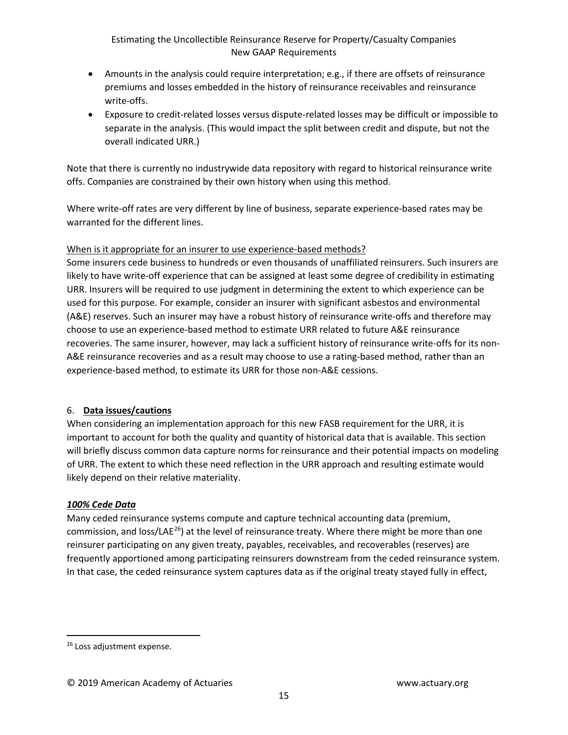- Amounts in the analysis could require interpretation; e.g., if there are offsets of reinsurance premiums and losses embedded in the history of reinsurance receivables and reinsurance write-offs.
- Exposure to credit-related losses versus dispute-related losses may be difficult or impossible to separate in the analysis. (This would impact the split between credit and dispute, but not the overall indicated URR.)

Note that there is currently no industrywide data repository with regard to historical reinsurance write offs. Companies are constrained by their own history when using this method.

Where write-off rates are very different by line of business, separate experience-based rates may be warranted for the different lines.

# When is it appropriate for an insurer to use experience-based methods?

Some insurers cede business to hundreds or even thousands of unaffiliated reinsurers. Such insurers are likely to have write-off experience that can be assigned at least some degree of credibility in estimating URR. Insurers will be required to use judgment in determining the extent to which experience can be used for this purpose. For example, consider an insurer with significant asbestos and environmental (A&E) reserves. Such an insurer may have a robust history of reinsurance write-offs and therefore may choose to use an experience-based method to estimate URR related to future A&E reinsurance recoveries. The same insurer, however, may lack a sufficient history of reinsurance write-offs for its non-A&E reinsurance recoveries and as a result may choose to use a rating-based method, rather than an experience-based method, to estimate its URR for those non-A&E cessions.

# 6. **Data issues/cautions**

When considering an implementation approach for this new FASB requirement for the URR, it is important to account for both the quality and quantity of historical data that is available. This section will briefly discuss common data capture norms for reinsurance and their potential impacts on modeling of URR. The extent to which these need reflection in the URR approach and resulting estimate would likely depend on their relative materiality.

# *100% Cede Data*

Many ceded reinsurance systems compute and capture technical accounting data (premium, commission, and loss/LAE<sup>26</sup>) at the level of reinsurance treaty. Where there might be more than one reinsurer participating on any given treaty, payables, receivables, and recoverables (reserves) are frequently apportioned among participating reinsurers downstream from the ceded reinsurance system. In that case, the ceded reinsurance system captures data as if the original treaty stayed fully in effect,

<span id="page-13-0"></span><sup>&</sup>lt;sup>26</sup> Loss adjustment expense.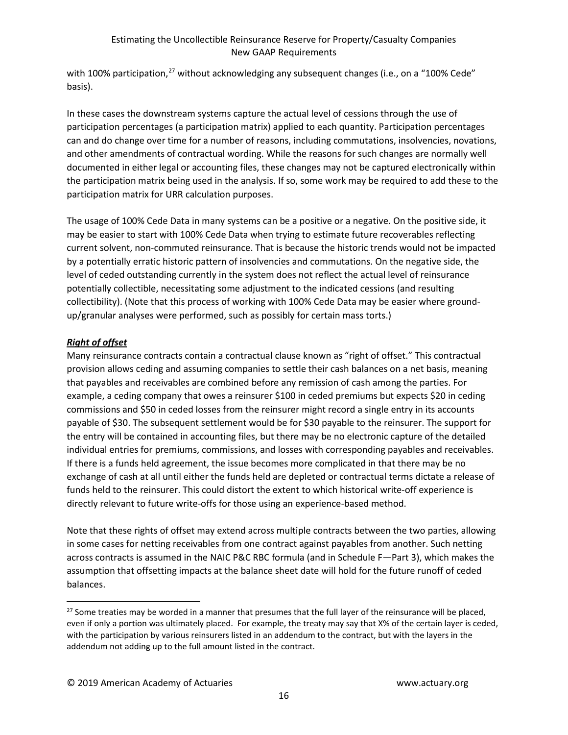with 100% participation,<sup>[27](#page-14-0)</sup> without acknowledging any subsequent changes (i.e., on a "100% Cede" basis).

In these cases the downstream systems capture the actual level of cessions through the use of participation percentages (a participation matrix) applied to each quantity. Participation percentages can and do change over time for a number of reasons, including commutations, insolvencies, novations, and other amendments of contractual wording. While the reasons for such changes are normally well documented in either legal or accounting files, these changes may not be captured electronically within the participation matrix being used in the analysis. If so, some work may be required to add these to the participation matrix for URR calculation purposes.

The usage of 100% Cede Data in many systems can be a positive or a negative. On the positive side, it may be easier to start with 100% Cede Data when trying to estimate future recoverables reflecting current solvent, non-commuted reinsurance. That is because the historic trends would not be impacted by a potentially erratic historic pattern of insolvencies and commutations. On the negative side, the level of ceded outstanding currently in the system does not reflect the actual level of reinsurance potentially collectible, necessitating some adjustment to the indicated cessions (and resulting collectibility). (Note that this process of working with 100% Cede Data may be easier where groundup/granular analyses were performed, such as possibly for certain mass torts.)

# *Right of offset*

Many reinsurance contracts contain a contractual clause known as "right of offset." This contractual provision allows ceding and assuming companies to settle their cash balances on a net basis, meaning that payables and receivables are combined before any remission of cash among the parties. For example, a ceding company that owes a reinsurer \$100 in ceded premiums but expects \$20 in ceding commissions and \$50 in ceded losses from the reinsurer might record a single entry in its accounts payable of \$30. The subsequent settlement would be for \$30 payable to the reinsurer. The support for the entry will be contained in accounting files, but there may be no electronic capture of the detailed individual entries for premiums, commissions, and losses with corresponding payables and receivables. If there is a funds held agreement, the issue becomes more complicated in that there may be no exchange of cash at all until either the funds held are depleted or contractual terms dictate a release of funds held to the reinsurer. This could distort the extent to which historical write-off experience is directly relevant to future write-offs for those using an experience-based method.

Note that these rights of offset may extend across multiple contracts between the two parties, allowing in some cases for netting receivables from one contract against payables from another. Such netting across contracts is assumed in the NAIC P&C RBC formula (and in Schedule F—Part 3), which makes the assumption that offsetting impacts at the balance sheet date will hold for the future runoff of ceded balances.

<span id="page-14-0"></span><sup>&</sup>lt;sup>27</sup> Some treaties may be worded in a manner that presumes that the full layer of the reinsurance will be placed, even if only a portion was ultimately placed. For example, the treaty may say that X% of the certain layer is ceded, with the participation by various reinsurers listed in an addendum to the contract, but with the layers in the addendum not adding up to the full amount listed in the contract.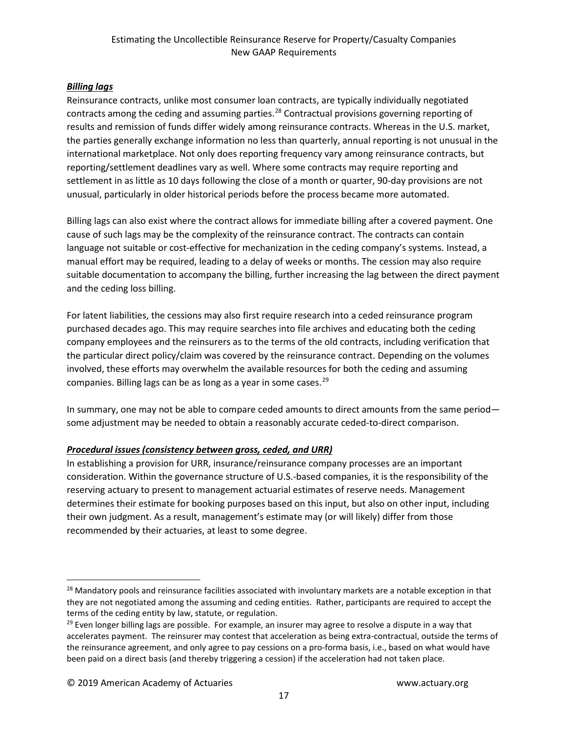# *Billing lags*

Reinsurance contracts, unlike most consumer loan contracts, are typically individually negotiated contracts among the ceding and assuming parties.<sup>[28](#page-15-0)</sup> Contractual provisions governing reporting of results and remission of funds differ widely among reinsurance contracts. Whereas in the U.S. market, the parties generally exchange information no less than quarterly, annual reporting is not unusual in the international marketplace. Not only does reporting frequency vary among reinsurance contracts, but reporting/settlement deadlines vary as well. Where some contracts may require reporting and settlement in as little as 10 days following the close of a month or quarter, 90-day provisions are not unusual, particularly in older historical periods before the process became more automated.

Billing lags can also exist where the contract allows for immediate billing after a covered payment. One cause of such lags may be the complexity of the reinsurance contract. The contracts can contain language not suitable or cost-effective for mechanization in the ceding company's systems. Instead, a manual effort may be required, leading to a delay of weeks or months. The cession may also require suitable documentation to accompany the billing, further increasing the lag between the direct payment and the ceding loss billing.

For latent liabilities, the cessions may also first require research into a ceded reinsurance program purchased decades ago. This may require searches into file archives and educating both the ceding company employees and the reinsurers as to the terms of the old contracts, including verification that the particular direct policy/claim was covered by the reinsurance contract. Depending on the volumes involved, these efforts may overwhelm the available resources for both the ceding and assuming companies. Billing lags can be as long as a year in some cases.<sup>[29](#page-15-1)</sup>

In summary, one may not be able to compare ceded amounts to direct amounts from the same period some adjustment may be needed to obtain a reasonably accurate ceded-to-direct comparison.

# *Procedural issues (consistency between gross, ceded, and URR)*

In establishing a provision for URR, insurance/reinsurance company processes are an important consideration. Within the governance structure of U.S.-based companies, it is the responsibility of the reserving actuary to present to management actuarial estimates of reserve needs. Management determines their estimate for booking purposes based on this input, but also on other input, including their own judgment. As a result, management's estimate may (or will likely) differ from those recommended by their actuaries, at least to some degree.

<span id="page-15-0"></span><sup>&</sup>lt;sup>28</sup> Mandatory pools and reinsurance facilities associated with involuntary markets are a notable exception in that they are not negotiated among the assuming and ceding entities. Rather, participants are required to accept the terms of the ceding entity by law, statute, or regulation.

<span id="page-15-1"></span> $29$  Even longer billing lags are possible. For example, an insurer may agree to resolve a dispute in a way that accelerates payment. The reinsurer may contest that acceleration as being extra-contractual, outside the terms of the reinsurance agreement, and only agree to pay cessions on a pro-forma basis, i.e., based on what would have been paid on a direct basis (and thereby triggering a cession) if the acceleration had not taken place.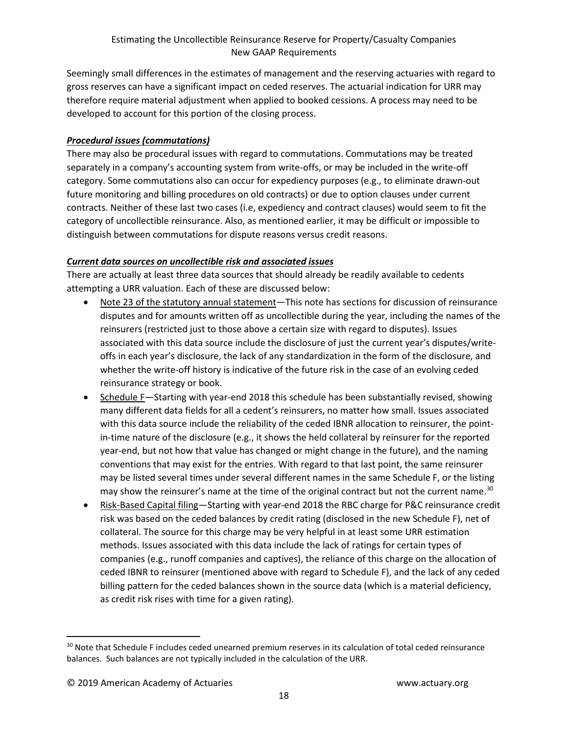Seemingly small differences in the estimates of management and the reserving actuaries with regard to gross reserves can have a significant impact on ceded reserves. The actuarial indication for URR may therefore require material adjustment when applied to booked cessions. A process may need to be developed to account for this portion of the closing process.

# *Procedural issues (commutations)*

There may also be procedural issues with regard to commutations. Commutations may be treated separately in a company's accounting system from write-offs, or may be included in the write-off category. Some commutations also can occur for expediency purposes (e.g., to eliminate drawn-out future monitoring and billing procedures on old contracts) or due to option clauses under current contracts. Neither of these last two cases (i.e, expediency and contract clauses) would seem to fit the category of uncollectible reinsurance. Also, as mentioned earlier, it may be difficult or impossible to distinguish between commutations for dispute reasons versus credit reasons.

# *Current data sources on uncollectible risk and associated issues*

There are actually at least three data sources that should already be readily available to cedents attempting a URR valuation. Each of these are discussed below:

- Note 23 of the statutory annual statement—This note has sections for discussion of reinsurance disputes and for amounts written off as uncollectible during the year, including the names of the reinsurers (restricted just to those above a certain size with regard to disputes). Issues associated with this data source include the disclosure of just the current year's disputes/writeoffs in each year's disclosure, the lack of any standardization in the form of the disclosure, and whether the write-off history is indicative of the future risk in the case of an evolving ceded reinsurance strategy or book.
- Schedule F—Starting with year-end 2018 this schedule has been substantially revised, showing many different data fields for all a cedent's reinsurers, no matter how small. Issues associated with this data source include the reliability of the ceded IBNR allocation to reinsurer, the pointin-time nature of the disclosure (e.g., it shows the held collateral by reinsurer for the reported year-end, but not how that value has changed or might change in the future), and the naming conventions that may exist for the entries. With regard to that last point, the same reinsurer may be listed several times under several different names in the same Schedule F, or the listing may show the reinsurer's name at the time of the original contract but not the current name.<sup>[30](#page-16-0)</sup>
- Risk-Based Capital filing—Starting with year-end 2018 the RBC charge for P&C reinsurance credit risk was based on the ceded balances by credit rating (disclosed in the new Schedule F), net of collateral. The source for this charge may be very helpful in at least some URR estimation methods. Issues associated with this data include the lack of ratings for certain types of companies (e.g., runoff companies and captives), the reliance of this charge on the allocation of ceded IBNR to reinsurer (mentioned above with regard to Schedule F), and the lack of any ceded billing pattern for the ceded balances shown in the source data (which is a material deficiency, as credit risk rises with time for a given rating).

<span id="page-16-0"></span><sup>&</sup>lt;sup>30</sup> Note that Schedule F includes ceded unearned premium reserves in its calculation of total ceded reinsurance balances. Such balances are not typically included in the calculation of the URR.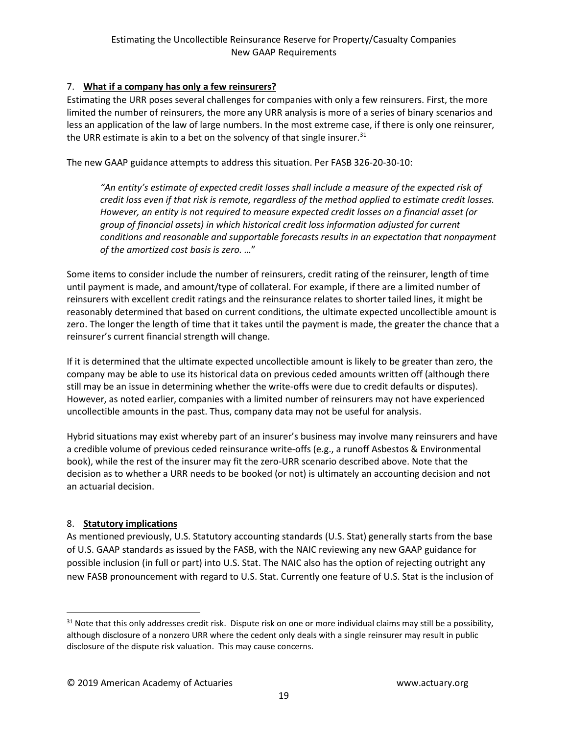# 7. **What if a company has only a few reinsurers?**

Estimating the URR poses several challenges for companies with only a few reinsurers. First, the more limited the number of reinsurers, the more any URR analysis is more of a series of binary scenarios and less an application of the law of large numbers. In the most extreme case, if there is only one reinsurer, the URR estimate is akin to a bet on the solvency of that single insurer.<sup>[31](#page-17-0)</sup>

The new GAAP guidance attempts to address this situation. Per FASB 326-20-30-10:

*"An entity's estimate of expected credit losses shall include a measure of the expected risk of credit loss even if that risk is remote, regardless of the method applied to estimate credit losses. However, an entity is not required to measure expected credit losses on a financial asset (or group of financial assets) in which historical credit loss information adjusted for current conditions and reasonable and supportable forecasts results in an expectation that nonpayment of the amortized cost basis is zero. …*"

Some items to consider include the number of reinsurers, credit rating of the reinsurer, length of time until payment is made, and amount/type of collateral. For example, if there are a limited number of reinsurers with excellent credit ratings and the reinsurance relates to shorter tailed lines, it might be reasonably determined that based on current conditions, the ultimate expected uncollectible amount is zero. The longer the length of time that it takes until the payment is made, the greater the chance that a reinsurer's current financial strength will change.

If it is determined that the ultimate expected uncollectible amount is likely to be greater than zero, the company may be able to use its historical data on previous ceded amounts written off (although there still may be an issue in determining whether the write-offs were due to credit defaults or disputes). However, as noted earlier, companies with a limited number of reinsurers may not have experienced uncollectible amounts in the past. Thus, company data may not be useful for analysis.

Hybrid situations may exist whereby part of an insurer's business may involve many reinsurers and have a credible volume of previous ceded reinsurance write-offs (e.g., a runoff Asbestos & Environmental book), while the rest of the insurer may fit the zero-URR scenario described above. Note that the decision as to whether a URR needs to be booked (or not) is ultimately an accounting decision and not an actuarial decision.

# 8. **Statutory implications**

As mentioned previously, U.S. Statutory accounting standards (U.S. Stat) generally starts from the base of U.S. GAAP standards as issued by the FASB, with the NAIC reviewing any new GAAP guidance for possible inclusion (in full or part) into U.S. Stat. The NAIC also has the option of rejecting outright any new FASB pronouncement with regard to U.S. Stat. Currently one feature of U.S. Stat is the inclusion of

<span id="page-17-0"></span> $31$  Note that this only addresses credit risk. Dispute risk on one or more individual claims may still be a possibility, although disclosure of a nonzero URR where the cedent only deals with a single reinsurer may result in public disclosure of the dispute risk valuation. This may cause concerns.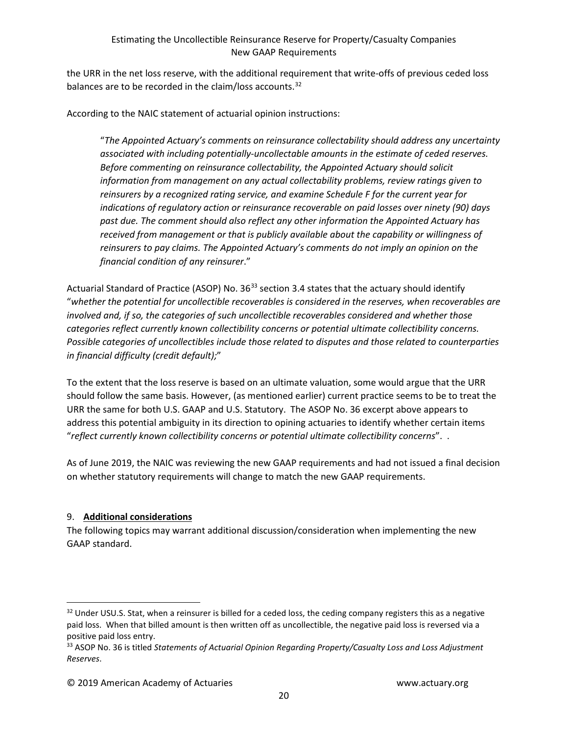the URR in the net loss reserve, with the additional requirement that write-offs of previous ceded loss balances are to be recorded in the claim/loss accounts.<sup>[32](#page-18-0)</sup>

According to the NAIC statement of actuarial opinion instructions:

"*The Appointed Actuary's comments on reinsurance collectability should address any uncertainty associated with including potentially-uncollectable amounts in the estimate of ceded reserves. Before commenting on reinsurance collectability, the Appointed Actuary should solicit information from management on any actual collectability problems, review ratings given to reinsurers by a recognized rating service, and examine Schedule F for the current year for indications of regulatory action or reinsurance recoverable on paid losses over ninety (90) days past due. The comment should also reflect any other information the Appointed Actuary has received from management or that is publicly available about the capability or willingness of reinsurers to pay claims. The Appointed Actuary's comments do not imply an opinion on the financial condition of any reinsurer*."

Actuarial Standard of Practice (ASOP) No. 36<sup>[33](#page-18-1)</sup> section 3.4 states that the actuary should identify "*whether the potential for uncollectible recoverables is considered in the reserves, when recoverables are involved and, if so, the categories of such uncollectible recoverables considered and whether those categories reflect currently known collectibility concerns or potential ultimate collectibility concerns. Possible categories of uncollectibles include those related to disputes and those related to counterparties in financial difficulty (credit default);*"

To the extent that the loss reserve is based on an ultimate valuation, some would argue that the URR should follow the same basis. However, (as mentioned earlier) current practice seems to be to treat the URR the same for both U.S. GAAP and U.S. Statutory. The ASOP No. 36 excerpt above appears to address this potential ambiguity in its direction to opining actuaries to identify whether certain items "*reflect currently known collectibility concerns or potential ultimate collectibility concerns*". .

As of June 2019, the NAIC was reviewing the new GAAP requirements and had not issued a final decision on whether statutory requirements will change to match the new GAAP requirements.

# 9. **Additional considerations**

The following topics may warrant additional discussion/consideration when implementing the new GAAP standard.

<span id="page-18-0"></span><sup>&</sup>lt;sup>32</sup> Under USU.S. Stat, when a reinsurer is billed for a ceded loss, the ceding company registers this as a negative paid loss. When that billed amount is then written off as uncollectible, the negative paid loss is reversed via a positive paid loss entry.

<span id="page-18-1"></span><sup>33</sup> ASOP No. 36 is titled *Statements of Actuarial Opinion Regarding Property/Casualty Loss and Loss Adjustment Reserves*.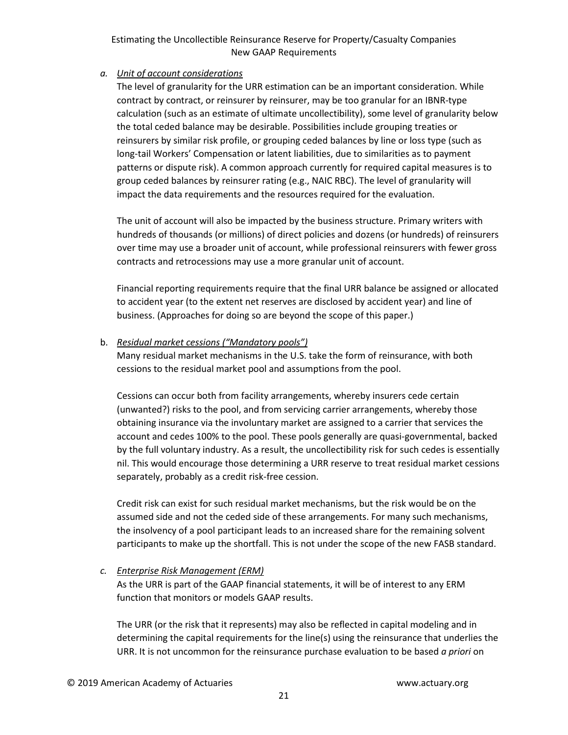#### *a. Unit of account considerations*

The level of granularity for the URR estimation can be an important consideration. While contract by contract, or reinsurer by reinsurer, may be too granular for an IBNR-type calculation (such as an estimate of ultimate uncollectibility), some level of granularity below the total ceded balance may be desirable. Possibilities include grouping treaties or reinsurers by similar risk profile, or grouping ceded balances by line or loss type (such as long-tail Workers' Compensation or latent liabilities, due to similarities as to payment patterns or dispute risk). A common approach currently for required capital measures is to group ceded balances by reinsurer rating (e.g., NAIC RBC). The level of granularity will impact the data requirements and the resources required for the evaluation.

The unit of account will also be impacted by the business structure. Primary writers with hundreds of thousands (or millions) of direct policies and dozens (or hundreds) of reinsurers over time may use a broader unit of account, while professional reinsurers with fewer gross contracts and retrocessions may use a more granular unit of account.

Financial reporting requirements require that the final URR balance be assigned or allocated to accident year (to the extent net reserves are disclosed by accident year) and line of business. (Approaches for doing so are beyond the scope of this paper.)

#### b. *Residual market cessions ("Mandatory pools")*

Many residual market mechanisms in the U.S. take the form of reinsurance, with both cessions to the residual market pool and assumptions from the pool.

Cessions can occur both from facility arrangements, whereby insurers cede certain (unwanted?) risks to the pool, and from servicing carrier arrangements, whereby those obtaining insurance via the involuntary market are assigned to a carrier that services the account and cedes 100% to the pool. These pools generally are quasi-governmental, backed by the full voluntary industry. As a result, the uncollectibility risk for such cedes is essentially nil. This would encourage those determining a URR reserve to treat residual market cessions separately, probably as a credit risk-free cession.

Credit risk can exist for such residual market mechanisms, but the risk would be on the assumed side and not the ceded side of these arrangements. For many such mechanisms, the insolvency of a pool participant leads to an increased share for the remaining solvent participants to make up the shortfall. This is not under the scope of the new FASB standard.

# *c. Enterprise Risk Management (ERM)*

As the URR is part of the GAAP financial statements, it will be of interest to any ERM function that monitors or models GAAP results.

The URR (or the risk that it represents) may also be reflected in capital modeling and in determining the capital requirements for the line(s) using the reinsurance that underlies the URR. It is not uncommon for the reinsurance purchase evaluation to be based *a priori* on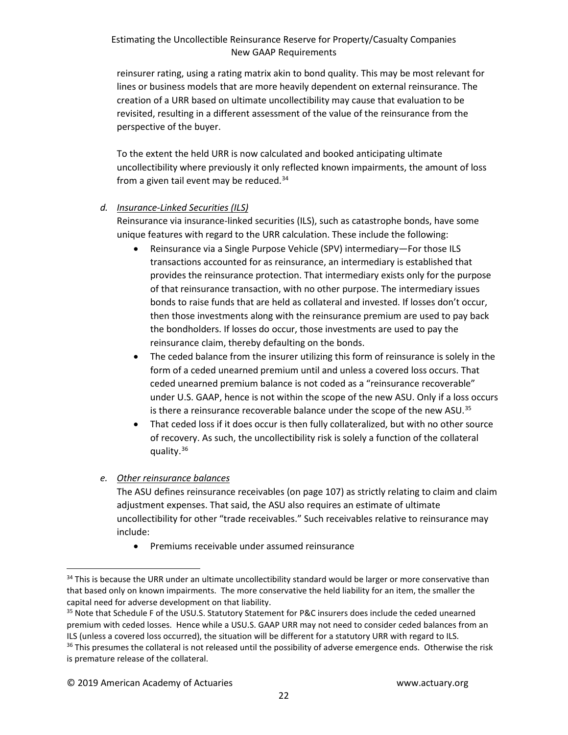reinsurer rating, using a rating matrix akin to bond quality. This may be most relevant for lines or business models that are more heavily dependent on external reinsurance. The creation of a URR based on ultimate uncollectibility may cause that evaluation to be revisited, resulting in a different assessment of the value of the reinsurance from the perspective of the buyer.

To the extent the held URR is now calculated and booked anticipating ultimate uncollectibility where previously it only reflected known impairments, the amount of loss from a given tail event may be reduced.<sup>[34](#page-20-0)</sup>

#### *d. Insurance-Linked Securities (ILS)*

Reinsurance via insurance-linked securities (ILS), such as catastrophe bonds, have some unique features with regard to the URR calculation. These include the following:

- Reinsurance via a Single Purpose Vehicle (SPV) intermediary—For those ILS transactions accounted for as reinsurance, an intermediary is established that provides the reinsurance protection. That intermediary exists only for the purpose of that reinsurance transaction, with no other purpose. The intermediary issues bonds to raise funds that are held as collateral and invested. If losses don't occur, then those investments along with the reinsurance premium are used to pay back the bondholders. If losses do occur, those investments are used to pay the reinsurance claim, thereby defaulting on the bonds.
- The ceded balance from the insurer utilizing this form of reinsurance is solely in the form of a ceded unearned premium until and unless a covered loss occurs. That ceded unearned premium balance is not coded as a "reinsurance recoverable" under U.S. GAAP, hence is not within the scope of the new ASU. Only if a loss occurs is there a reinsurance recoverable balance under the scope of the new ASU.<sup>[35](#page-20-1)</sup>
- That ceded loss if it does occur is then fully collateralized, but with no other source of recovery. As such, the uncollectibility risk is solely a function of the collateral quality.<sup>[36](#page-20-2)</sup>

# *e. Other reinsurance balances*

The ASU defines reinsurance receivables (on page 107) as strictly relating to claim and claim adjustment expenses. That said, the ASU also requires an estimate of ultimate uncollectibility for other "trade receivables." Such receivables relative to reinsurance may include:

• Premiums receivable under assumed reinsurance

<span id="page-20-0"></span><sup>&</sup>lt;sup>34</sup> This is because the URR under an ultimate uncollectibility standard would be larger or more conservative than that based only on known impairments. The more conservative the held liability for an item, the smaller the capital need for adverse development on that liability.

<span id="page-20-1"></span><sup>35</sup> Note that Schedule F of the USU.S. Statutory Statement for P&C insurers does include the ceded unearned premium with ceded losses. Hence while a USU.S. GAAP URR may not need to consider ceded balances from an ILS (unless a covered loss occurred), the situation will be different for a statutory URR with regard to ILS.

<span id="page-20-2"></span><sup>&</sup>lt;sup>36</sup> This presumes the collateral is not released until the possibility of adverse emergence ends. Otherwise the risk is premature release of the collateral.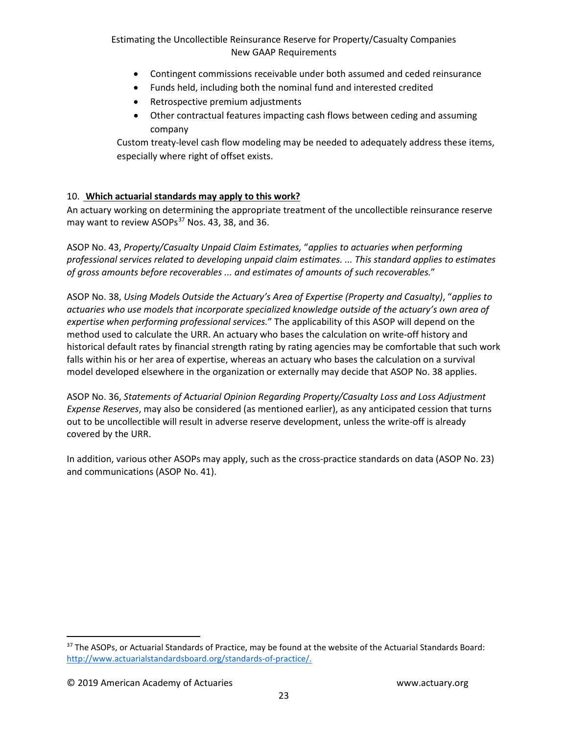- Contingent commissions receivable under both assumed and ceded reinsurance
- Funds held, including both the nominal fund and interested credited
- Retrospective premium adjustments
- Other contractual features impacting cash flows between ceding and assuming company

Custom treaty-level cash flow modeling may be needed to adequately address these items, especially where right of offset exists.

# 10. **Which actuarial standards may apply to this work?**

An actuary working on determining the appropriate treatment of the uncollectible reinsurance reserve may want to review ASOPs<sup>[37](#page-21-0)</sup> Nos. 43, 38, and 36.

ASOP No. 43, *Property/Casualty Unpaid Claim Estimates,* "*applies to actuaries when performing professional services related to developing unpaid claim estimates. ... This standard applies to estimates of gross amounts before recoverables ... and estimates of amounts of such recoverables.*"

ASOP No. 38, *Using Models Outside the Actuary's Area of Expertise (Property and Casualty)*, "*applies to actuaries who use models that incorporate specialized knowledge outside of the actuary's own area of expertise when performing professional services.*" The applicability of this ASOP will depend on the method used to calculate the URR. An actuary who bases the calculation on write-off history and historical default rates by financial strength rating by rating agencies may be comfortable that such work falls within his or her area of expertise, whereas an actuary who bases the calculation on a survival model developed elsewhere in the organization or externally may decide that ASOP No. 38 applies.

ASOP No. 36, *Statements of Actuarial Opinion Regarding Property/Casualty Loss and Loss Adjustment Expense Reserves*, may also be considered (as mentioned earlier), as any anticipated cession that turns out to be uncollectible will result in adverse reserve development, unless the write-off is already covered by the URR.

In addition, various other ASOPs may apply, such as the cross-practice standards on data (ASOP No. 23) and communications (ASOP No. 41).

<span id="page-21-0"></span><sup>37</sup> The ASOPs, or Actuarial Standards of Practice, may be found at the website of the Actuarial Standards Board: [http://www.actuarialstandardsboard.org/standards-of-practice/.](http://www.actuarialstandardsboard.org/standards-of-practice/)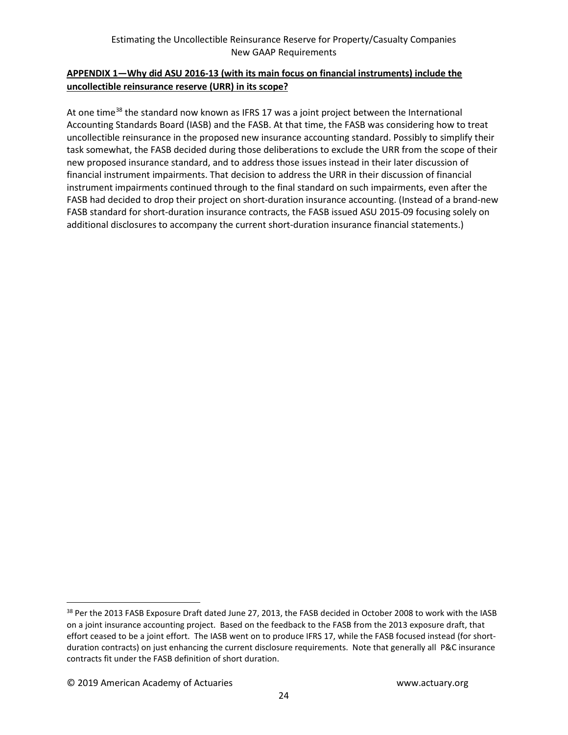# **APPENDIX 1—Why did ASU 2016-13 (with its main focus on financial instruments) include the uncollectible reinsurance reserve (URR) in its scope?**

At one time<sup>[38](#page-22-0)</sup> the standard now known as IFRS 17 was a joint project between the International Accounting Standards Board (IASB) and the FASB. At that time, the FASB was considering how to treat uncollectible reinsurance in the proposed new insurance accounting standard. Possibly to simplify their task somewhat, the FASB decided during those deliberations to exclude the URR from the scope of their new proposed insurance standard, and to address those issues instead in their later discussion of financial instrument impairments. That decision to address the URR in their discussion of financial instrument impairments continued through to the final standard on such impairments, even after the FASB had decided to drop their project on short-duration insurance accounting. (Instead of a brand-new FASB standard for short-duration insurance contracts, the FASB issued ASU 2015-09 focusing solely on additional disclosures to accompany the current short-duration insurance financial statements.)

<span id="page-22-0"></span><sup>&</sup>lt;sup>38</sup> Per the 2013 FASB Exposure Draft dated June 27, 2013, the FASB decided in October 2008 to work with the IASB on a joint insurance accounting project. Based on the feedback to the FASB from the 2013 exposure draft, that effort ceased to be a joint effort. The IASB went on to produce IFRS 17, while the FASB focused instead (for shortduration contracts) on just enhancing the current disclosure requirements. Note that generally all P&C insurance contracts fit under the FASB definition of short duration.

<sup>© 2019</sup> American Academy of Actuaries www.actuary.org